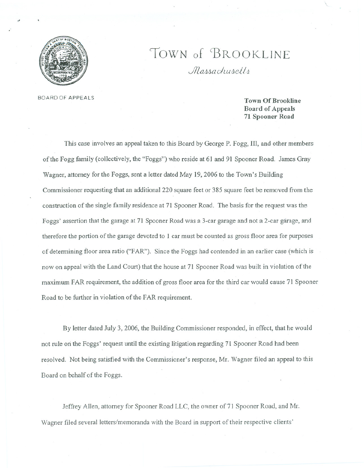

"

## TOWN of BROOKLINE *Massachusetts*

BOARD OF APPEALS Town Of Brookline Board of Appeals 71 Spooner Road

\.

This case involves an appeal taken to this Board by George P. Fogg, III, and other members of the Fogg family (collectively, the "Foggs") who reside at 61 and 91 Spooner Road. James Gray Wagner, attorney for the Foggs, sent a letter dated May 19,2006 to the Town's Building Commissioner requesting that an additional 220 square feet or 385 square feet be removed trom the construction of the single family residence at 71 Spooner Road. The basis for the request was the Foggs' assertion that the garage at 71 Spooner Road was a 3-car garage and not a 2-car garage, and therefore the portion of the garage devoted to 1 car must be counted as gross floor area for purposes of determining floor area ratio ("FAR"). Since the Foggs had contended in an earlier case (which is now on appeal with the Land Court) that the house at 71 Spooner Road was built in violation of the maximum FAR requirement, the addition of gross floor area for the third car would cause 71 Spooner Road to be further in violation of the FAR requirement.

By letter dated July 3, 2006, the Building Commissioner responded, in effect, that he would not rule on the Foggs' request until the existing litigation regarding 71 Spooner Road had been resolved. Not being satisfied with the Commissioner's response, Mr. Wagner filed an appeal to this Board on behalf of the Foggs.

Jeffrey Allen, attorney for Spooner Road LLC, the owner of 71 Spooner Road, and Mr. Wagner filed several letters/memoranda with the Board in support of their respective clients'